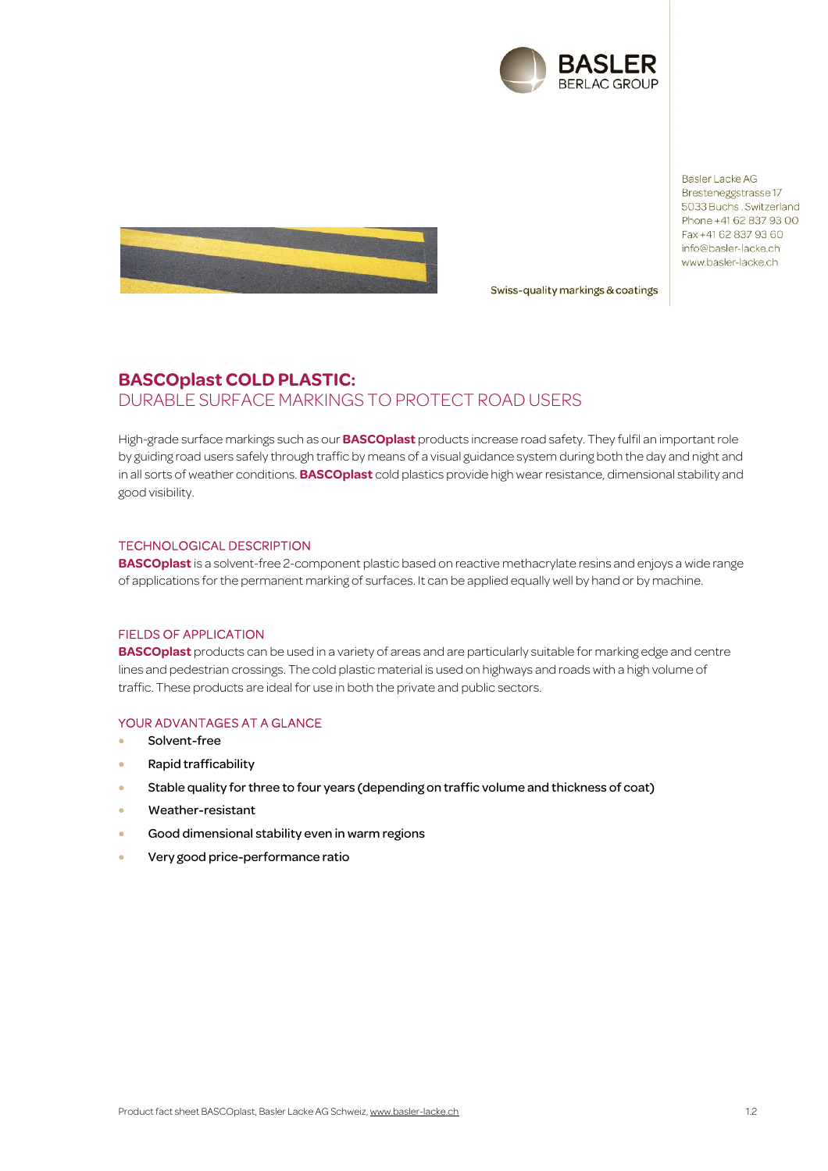

**Basler Lacke AG** Bresteneggstrasse 17 5033 Buchs. Switzerland Phone +41 62 837 93 00 Fax +41 62 837 93 60 info@basler-lacke.ch www.basler-lacke.ch



Swiss-quality markings & coatings

# **BASCOplast COLD PLASTIC:**  DURABLE SURFACE MARKINGS TO PROTECT ROAD USERS

High-grade surface markings such as our **BASCOplast** products increase road safety. They fulfil an important role by guiding road users safely through traffic by means of a visual guidance system during both the day and night and in all sorts of weather conditions. **BASCOplast** cold plastics provide high wear resistance, dimensional stability and good visibility.

### TECHNOLOGICAL DESCRIPTION

**BASCOplast** is a solvent-free 2-component plastic based on reactive methacrylate resins and enjoys a wide range of applications for the permanent marking of surfaces. It can be applied equally well by hand or by machine.

#### FIELDS OF APPLICATION

**BASCOplast** products can be used in a variety of areas and are particularly suitable for marking edge and centre lines and pedestrian crossings. The cold plastic material is used on highways and roads with a high volume of traffic. These products are ideal for use in both the private and public sectors.

## YOUR ADVANTAGES AT A GLANCE

- Solvent-free
- Rapid trafficability
- Stable quality for three to four years (depending on traffic volume and thickness of coat)
- Weather-resistant
- Good dimensional stability even in warm regions
- Very good price-performance ratio